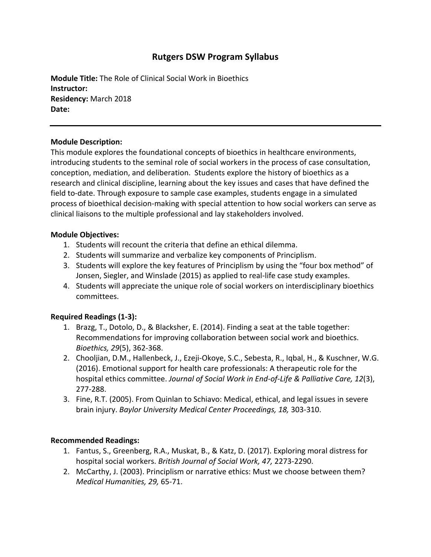# **Rutgers DSW Program Syllabus**

**Module Title:** The Role of Clinical Social Work in Bioethics **Instructor: Residency:** March 2018 **Date:** 

# **Module Description:**

This module explores the foundational concepts of bioethics in healthcare environments, introducing students to the seminal role of social workers in the process of case consultation, conception, mediation, and deliberation. Students explore the history of bioethics as a research and clinical discipline, learning about the key issues and cases that have defined the field to-date. Through exposure to sample case examples, students engage in a simulated process of bioethical decision-making with special attention to how social workers can serve as clinical liaisons to the multiple professional and lay stakeholders involved.

### **Module Objectives:**

- 1. Students will recount the criteria that define an ethical dilemma.
- 2. Students will summarize and verbalize key components of Principlism.
- 3. Students will explore the key features of Principlism by using the "four box method" of Jonsen, Siegler, and Winslade (2015) as applied to real-life case study examples.
- 4. Students will appreciate the unique role of social workers on interdisciplinary bioethics committees.

# **Required Readings (1-3):**

- 1. Brazg, T., Dotolo, D., & Blacksher, E. (2014). Finding a seat at the table together: Recommendations for improving collaboration between social work and bioethics. *Bioethics, 29*(5), 362-368.
- 2. Chooljian, D.M., Hallenbeck, J., Ezeji-Okoye, S.C., Sebesta, R., Iqbal, H., & Kuschner, W.G. (2016). Emotional support for health care professionals: A therapeutic role for the hospital ethics committee. *Journal of Social Work in End-of-Life & Palliative Care, 12*(3), 277-288.
- 3. Fine, R.T. (2005). From Quinlan to Schiavo: Medical, ethical, and legal issues in severe brain injury. *Baylor University Medical Center Proceedings, 18,* 303-310.

# **Recommended Readings:**

- 1. Fantus, S., Greenberg, R.A., Muskat, B., & Katz, D. (2017). Exploring moral distress for hospital social workers. *British Journal of Social Work, 47,* 2273-2290.
- 2. McCarthy, J. (2003). Principlism or narrative ethics: Must we choose between them? *Medical Humanities, 29,* 65-71.